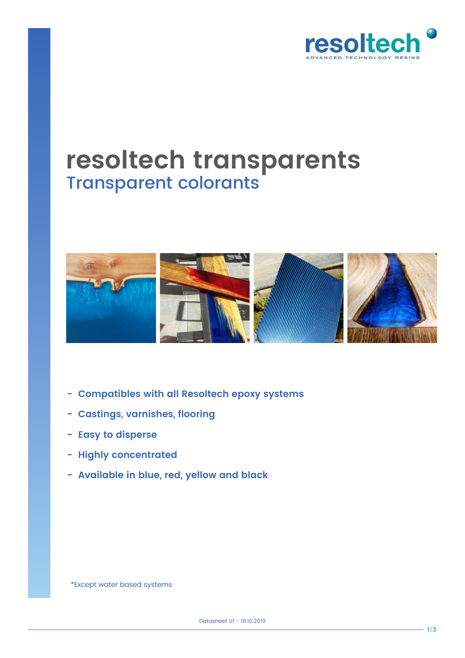

# **resoltech transparents** Transparent colorants



- **Compatibles with all Resoltech epoxy systems**
- **Castings, varnishes, flooring**
- **Easy to disperse**
- **Highly concentrated**
- **Available in blue, red, yellow and black**

\*Except water based systems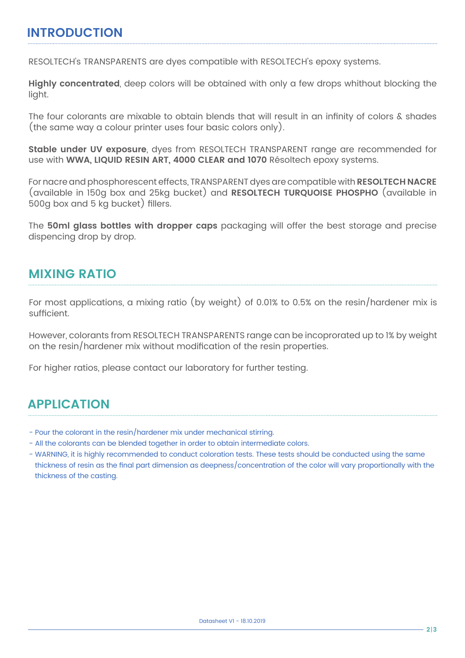#### **INTRODUCTION**

RESOLTECH's TRANSPARENTS are dyes compatible with RESOLTECH's epoxy systems.

**Highly concentrated**, deep colors will be obtained with only a few drops whithout blocking the light.

The four colorants are mixable to obtain blends that will result in an infinity of colors & shades (the same way a colour printer uses four basic colors only).

**Stable under UV exposure**, dyes from RESOLTECH TRANSPARENT range are recommended for use with **WWA, LIQUID RESIN ART, 4000 CLEAR and 1070** Résoltech epoxy systems.

For nacre and phosphorescent effects, TRANSPARENT dyes are compatible with **RESOLTECH NACRE**  (available in 150g box and 25kg bucket) and **RESOLTECH TURQUOISE PHOSPHO** (available in 500g box and 5 kg bucket) fillers.

The **50ml glass bottles with dropper caps** packaging will offer the best storage and precise dispencing drop by drop.

## **MIXING RATIO**

For most applications, a mixing ratio (by weight) of 0.01% to 0.5% on the resin/hardener mix is sufficient.

However, colorants from RESOLTECH TRANSPARENTS range can be incoprorated up to 1% by weight on the resin/hardener mix without modification of the resin properties.

For higher ratios, please contact our laboratory for further testing.

## **APPLICATION**

- Pour the colorant in the resin/hardener mix under mechanical stirring.
- All the colorants can be blended together in order to obtain intermediate colors.
- WARNING, it is highly recommended to conduct coloration tests. These tests should be conducted using the same thickness of resin as the final part dimension as deepness/concentration of the color will vary proportionally with the thickness of the casting.